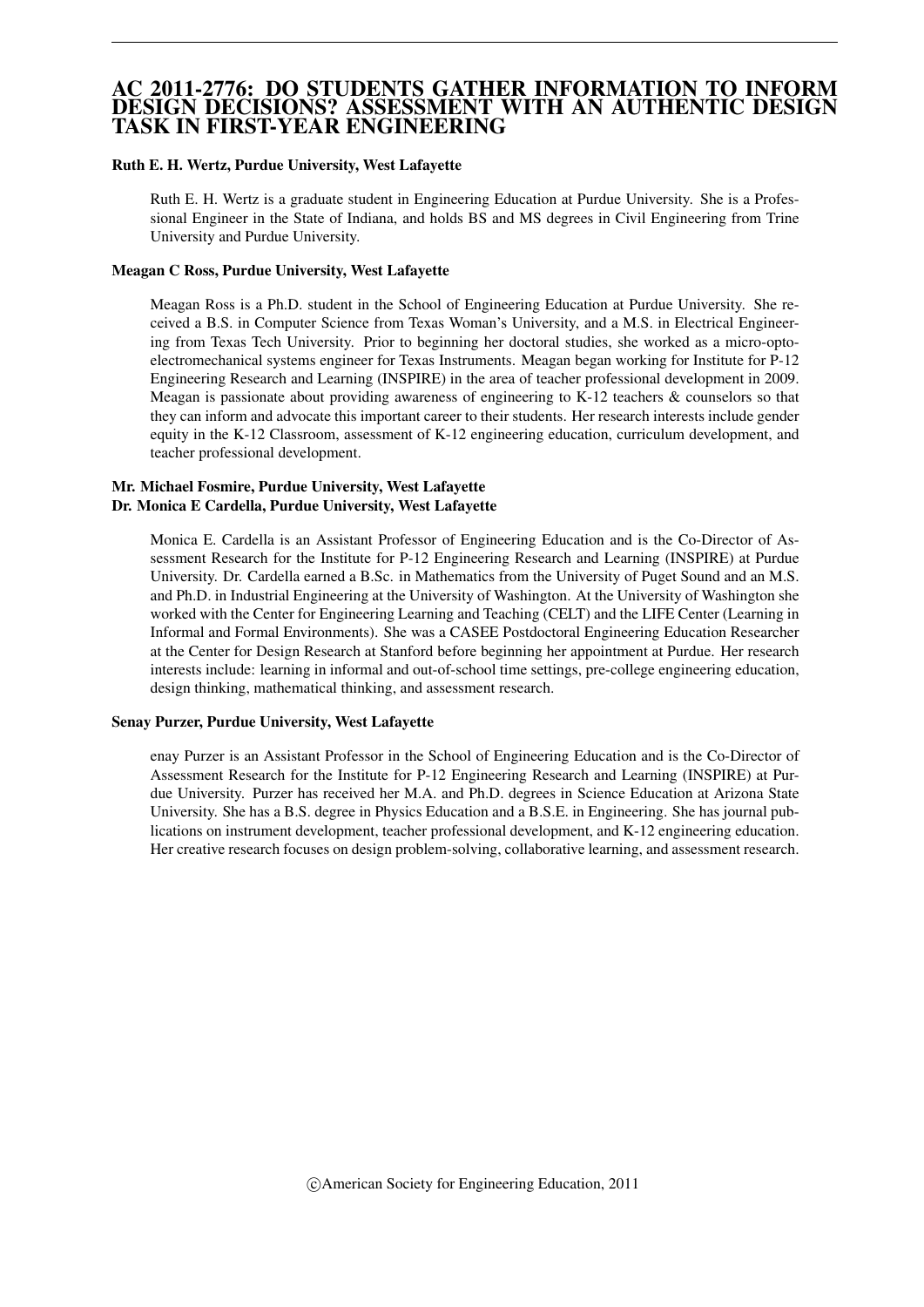#### AC 2011-2776: DO STUDENTS GATHER INFORMATION TO INFORM DESIGN DECISIONS? ASSESSMENT WITH AN AUTHENTIC DESIGN TASK IN FIRST-YEAR ENGINEERING

#### Ruth E. H. Wertz, Purdue University, West Lafayette

Ruth E. H. Wertz is a graduate student in Engineering Education at Purdue University. She is a Professional Engineer in the State of Indiana, and holds BS and MS degrees in Civil Engineering from Trine University and Purdue University.

#### Meagan C Ross, Purdue University, West Lafayette

Meagan Ross is a Ph.D. student in the School of Engineering Education at Purdue University. She received a B.S. in Computer Science from Texas Woman's University, and a M.S. in Electrical Engineering from Texas Tech University. Prior to beginning her doctoral studies, she worked as a micro-optoelectromechanical systems engineer for Texas Instruments. Meagan began working for Institute for P-12 Engineering Research and Learning (INSPIRE) in the area of teacher professional development in 2009. Meagan is passionate about providing awareness of engineering to K-12 teachers & counselors so that they can inform and advocate this important career to their students. Her research interests include gender equity in the K-12 Classroom, assessment of K-12 engineering education, curriculum development, and teacher professional development.

#### Mr. Michael Fosmire, Purdue University, West Lafayette Dr. Monica E Cardella, Purdue University, West Lafayette

Monica E. Cardella is an Assistant Professor of Engineering Education and is the Co-Director of Assessment Research for the Institute for P-12 Engineering Research and Learning (INSPIRE) at Purdue University. Dr. Cardella earned a B.Sc. in Mathematics from the University of Puget Sound and an M.S. and Ph.D. in Industrial Engineering at the University of Washington. At the University of Washington she worked with the Center for Engineering Learning and Teaching (CELT) and the LIFE Center (Learning in Informal and Formal Environments). She was a CASEE Postdoctoral Engineering Education Researcher at the Center for Design Research at Stanford before beginning her appointment at Purdue. Her research interests include: learning in informal and out-of-school time settings, pre-college engineering education, design thinking, mathematical thinking, and assessment research.

#### Senay Purzer, Purdue University, West Lafayette

enay Purzer is an Assistant Professor in the School of Engineering Education and is the Co-Director of Assessment Research for the Institute for P-12 Engineering Research and Learning (INSPIRE) at Purdue University. Purzer has received her M.A. and Ph.D. degrees in Science Education at Arizona State University. She has a B.S. degree in Physics Education and a B.S.E. in Engineering. She has journal publications on instrument development, teacher professional development, and K-12 engineering education. Her creative research focuses on design problem-solving, collaborative learning, and assessment research.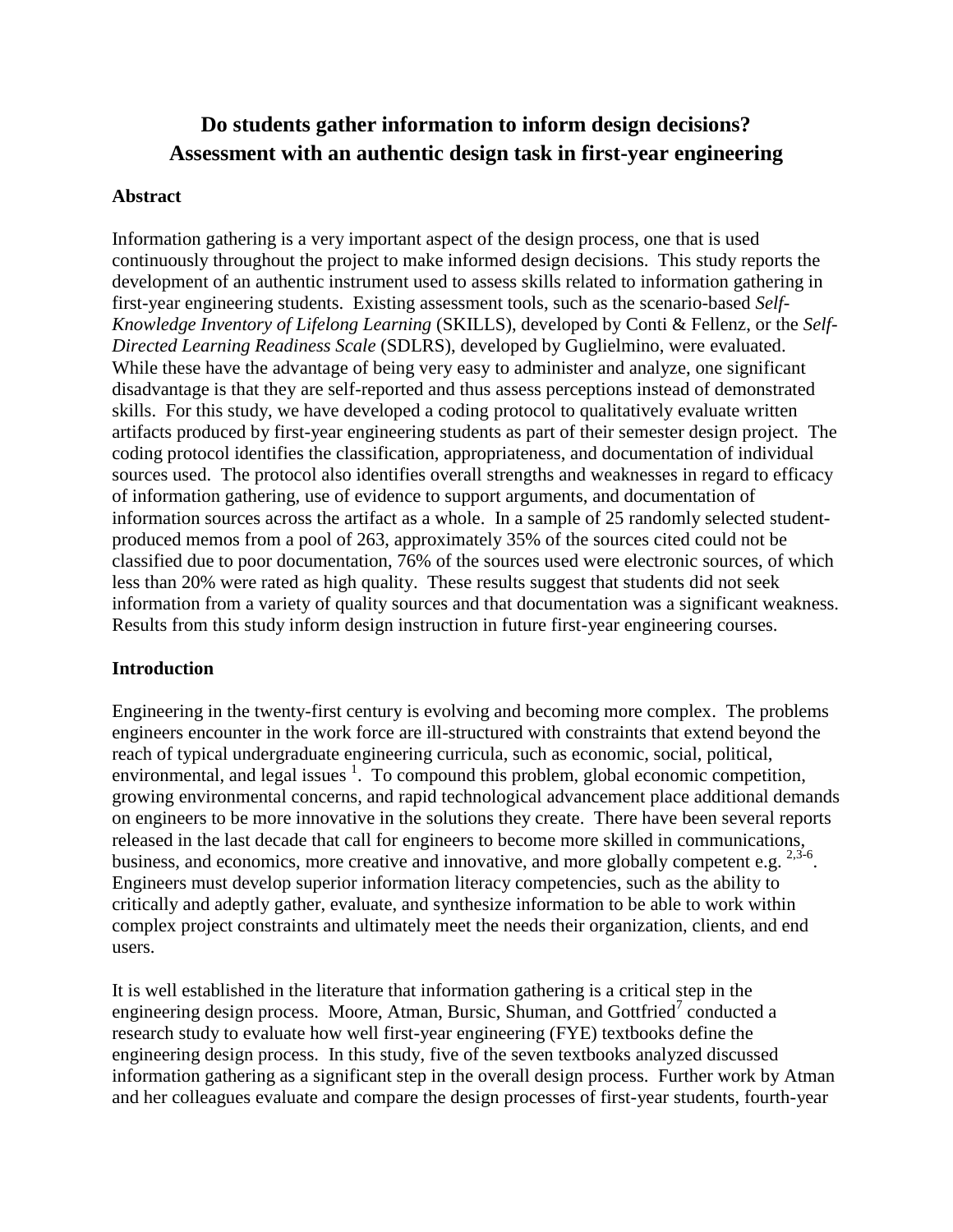# **Do students gather information to inform design decisions? Assessment with an authentic design task in first-year engineering**

### **Abstract**

Information gathering is a very important aspect of the design process, one that is used continuously throughout the project to make informed design decisions. This study reports the development of an authentic instrument used to assess skills related to information gathering in first-year engineering students. Existing assessment tools, such as the scenario-based *Self-Knowledge Inventory of Lifelong Learning* (SKILLS), developed by Conti & Fellenz, or the *Self-Directed Learning Readiness Scale* (SDLRS), developed by Guglielmino, were evaluated. While these have the advantage of being very easy to administer and analyze, one significant disadvantage is that they are self-reported and thus assess perceptions instead of demonstrated skills. For this study, we have developed a coding protocol to qualitatively evaluate written artifacts produced by first-year engineering students as part of their semester design project. The coding protocol identifies the classification, appropriateness, and documentation of individual sources used. The protocol also identifies overall strengths and weaknesses in regard to efficacy of information gathering, use of evidence to support arguments, and documentation of information sources across the artifact as a whole. In a sample of 25 randomly selected studentproduced memos from a pool of 263, approximately 35% of the sources cited could not be classified due to poor documentation, 76% of the sources used were electronic sources, of which less than 20% were rated as high quality. These results suggest that students did not seek information from a variety of quality sources and that documentation was a significant weakness. Results from this study inform design instruction in future first-year engineering courses.

## **Introduction**

Engineering in the twenty-first century is evolving and becoming more complex. The problems engineers encounter in the work force are ill-structured with constraints that extend beyond the reach of typical undergraduate engineering curricula, such as economic, social, political, environmental, and legal issues  $\frac{1}{1}$ . To compound this problem, global economic competition, growing environmental concerns, and rapid technological advancement place additional demands on engineers to be more innovative in the solutions they create. There have been several reports released in the last decade that call for engineers to become more skilled in communications, business, and economics, more creative and innovative, and more globally competent e.g. <sup>2,3-6</sup>. Engineers must develop superior information literacy competencies, such as the ability to critically and adeptly gather, evaluate, and synthesize information to be able to work within complex project constraints and ultimately meet the needs their organization, clients, and end users.

It is well established in the literature that information gathering is a critical step in the engineering design process. Moore, Atman, Bursic, Shuman, and Gottfried<sup>7</sup> conducted a research study to evaluate how well first-year engineering (FYE) textbooks define the engineering design process. In this study, five of the seven textbooks analyzed discussed information gathering as a significant step in the overall design process. Further work by Atman and her colleagues evaluate and compare the design processes of first-year students, fourth-year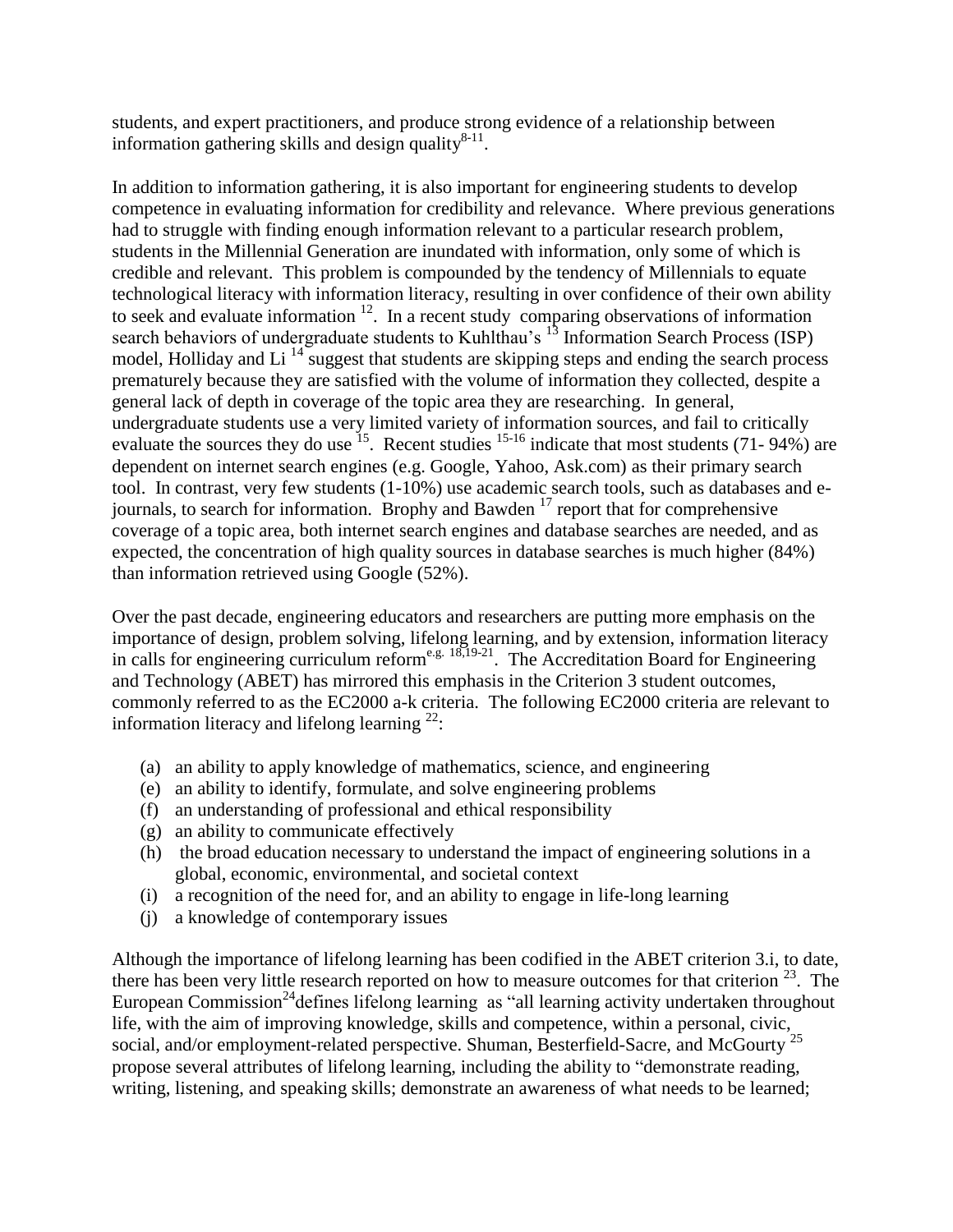students, and expert practitioners, and produce strong evidence of a relationship between information gathering skills and design quality $8-11$ .

In addition to information gathering, it is also important for engineering students to develop competence in evaluating information for credibility and relevance. Where previous generations had to struggle with finding enough information relevant to a particular research problem, students in the Millennial Generation are inundated with information, only some of which is credible and relevant. This problem is compounded by the tendency of Millennials to equate technological literacy with information literacy, resulting in over confidence of their own ability to seek and evaluate information  $12$ . In a recent study comparing observations of information search behaviors of undergraduate students to Kuhlthau's <sup>13</sup> Information Search Process (ISP) model, Holliday and Li<sup>14</sup> suggest that students are skipping steps and ending the search process prematurely because they are satisfied with the volume of information they collected, despite a general lack of depth in coverage of the topic area they are researching. In general, undergraduate students use a very limited variety of information sources, and fail to critically evaluate the sources they do use  $^{15}$ . Recent studies  $^{15-16}$  indicate that most students (71-94%) are dependent on internet search engines (e.g. Google, Yahoo, Ask.com) as their primary search tool. In contrast, very few students (1-10%) use academic search tools, such as databases and ejournals, to search for information. Brophy and Bawden  $17$  report that for comprehensive coverage of a topic area, both internet search engines and database searches are needed, and as expected, the concentration of high quality sources in database searches is much higher (84%) than information retrieved using Google (52%).

Over the past decade, engineering educators and researchers are putting more emphasis on the importance of design, problem solving, lifelong learning, and by extension, information literacy in calls for engineering curriculum reform<sup>e.g. 18,19-21</sup>. The Accreditation Board for Engineering and Technology (ABET) has mirrored this emphasis in the Criterion 3 student outcomes, commonly referred to as the EC2000 a-k criteria. The following EC2000 criteria are relevant to information literacy and lifelong learning  $^{22}$ :

- (a) an ability to apply knowledge of mathematics, science, and engineering
- (e) an ability to identify, formulate, and solve engineering problems
- (f) an understanding of professional and ethical responsibility
- (g) an ability to communicate effectively
- (h) the broad education necessary to understand the impact of engineering solutions in a global, economic, environmental, and societal context
- (i) a recognition of the need for, and an ability to engage in life-long learning
- (j) a knowledge of contemporary issues

Although the importance of lifelong learning has been codified in the ABET criterion 3.i, to date, there has been very little research reported on how to measure outcomes for that criterion  $23$ . The European Commission<sup>24</sup> defines lifelong learning as "all learning activity undertaken throughout life, with the aim of improving knowledge, skills and competence, within a personal, civic, social, and/or employment-related perspective. Shuman, Besterfield-Sacre, and McGourty<sup>25</sup> propose several attributes of lifelong learning, including the ability to "demonstrate reading, writing, listening, and speaking skills; demonstrate an awareness of what needs to be learned;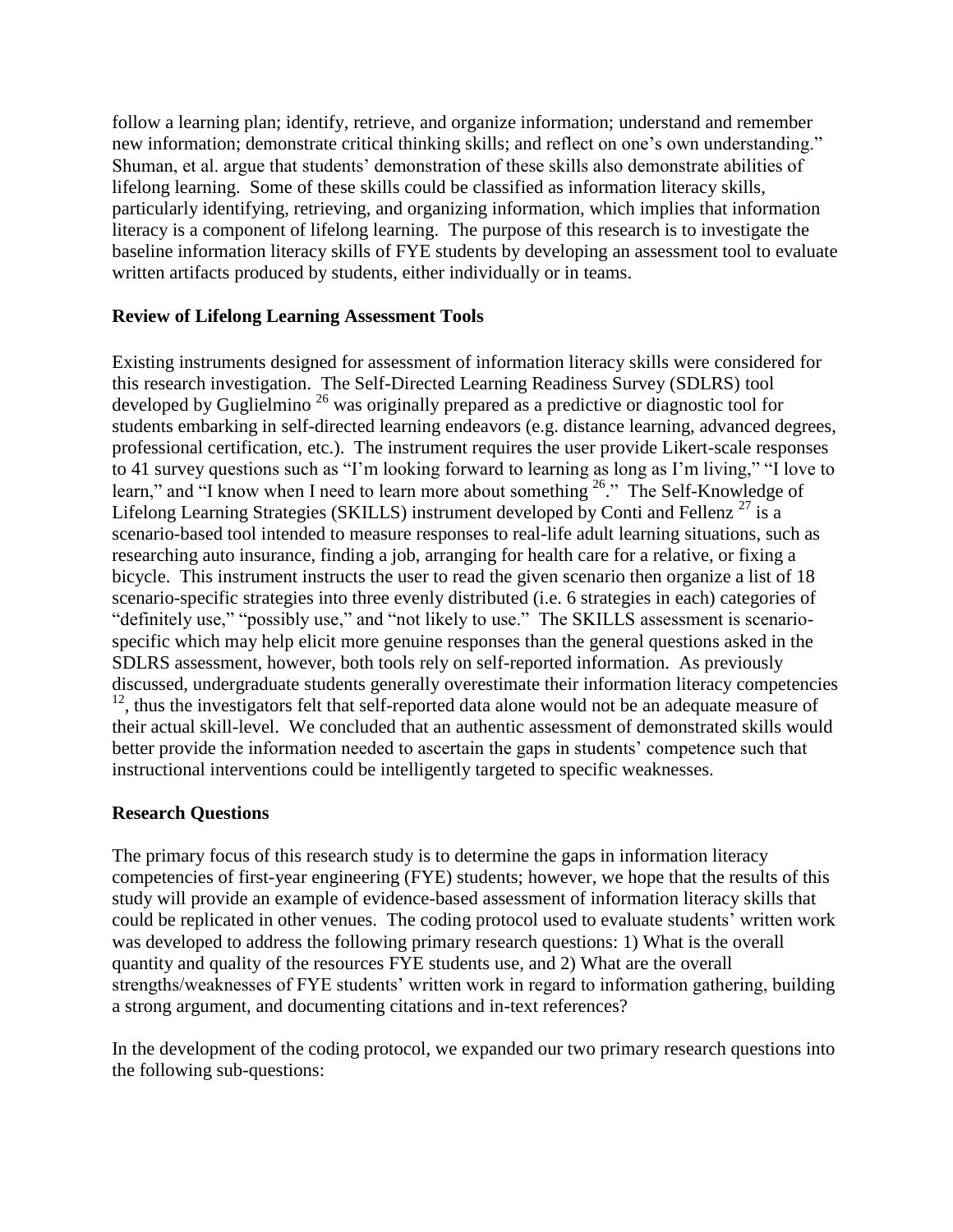follow a learning plan; identify, retrieve, and organize information; understand and remember new information; demonstrate critical thinking skills; and reflect on one's own understanding." Shuman, et al. argue that students' demonstration of these skills also demonstrate abilities of lifelong learning. Some of these skills could be classified as information literacy skills, particularly identifying, retrieving, and organizing information, which implies that information literacy is a component of lifelong learning. The purpose of this research is to investigate the baseline information literacy skills of FYE students by developing an assessment tool to evaluate written artifacts produced by students, either individually or in teams.

## **Review of Lifelong Learning Assessment Tools**

Existing instruments designed for assessment of information literacy skills were considered for this research investigation. The Self-Directed Learning Readiness Survey (SDLRS) tool developed by Guglielmino <sup>26</sup> was originally prepared as a predictive or diagnostic tool for students embarking in self-directed learning endeavors (e.g. distance learning, advanced degrees, professional certification, etc.). The instrument requires the user provide Likert-scale responses to 41 survey questions such as "I'm looking forward to learning as long as I'm living," "I love to learn," and "I know when I need to learn more about something <sup>26</sup>." The Self-Knowledge of Lifelong Learning Strategies (SKILLS) instrument developed by Conti and Fellenz  $^{27}$  is a scenario-based tool intended to measure responses to real-life adult learning situations, such as researching auto insurance, finding a job, arranging for health care for a relative, or fixing a bicycle. This instrument instructs the user to read the given scenario then organize a list of 18 scenario-specific strategies into three evenly distributed (i.e. 6 strategies in each) categories of "definitely use," "possibly use," and "not likely to use." The SKILLS assessment is scenariospecific which may help elicit more genuine responses than the general questions asked in the SDLRS assessment, however, both tools rely on self-reported information. As previously discussed, undergraduate students generally overestimate their information literacy competencies <sup>12</sup>, thus the investigators felt that self-reported data alone would not be an adequate measure of their actual skill-level. We concluded that an authentic assessment of demonstrated skills would better provide the information needed to ascertain the gaps in students' competence such that instructional interventions could be intelligently targeted to specific weaknesses.

#### **Research Questions**

The primary focus of this research study is to determine the gaps in information literacy competencies of first-year engineering (FYE) students; however, we hope that the results of this study will provide an example of evidence-based assessment of information literacy skills that could be replicated in other venues. The coding protocol used to evaluate students' written work was developed to address the following primary research questions: 1) What is the overall quantity and quality of the resources FYE students use, and 2) What are the overall strengths/weaknesses of FYE students' written work in regard to information gathering, building a strong argument, and documenting citations and in-text references?

In the development of the coding protocol, we expanded our two primary research questions into the following sub-questions: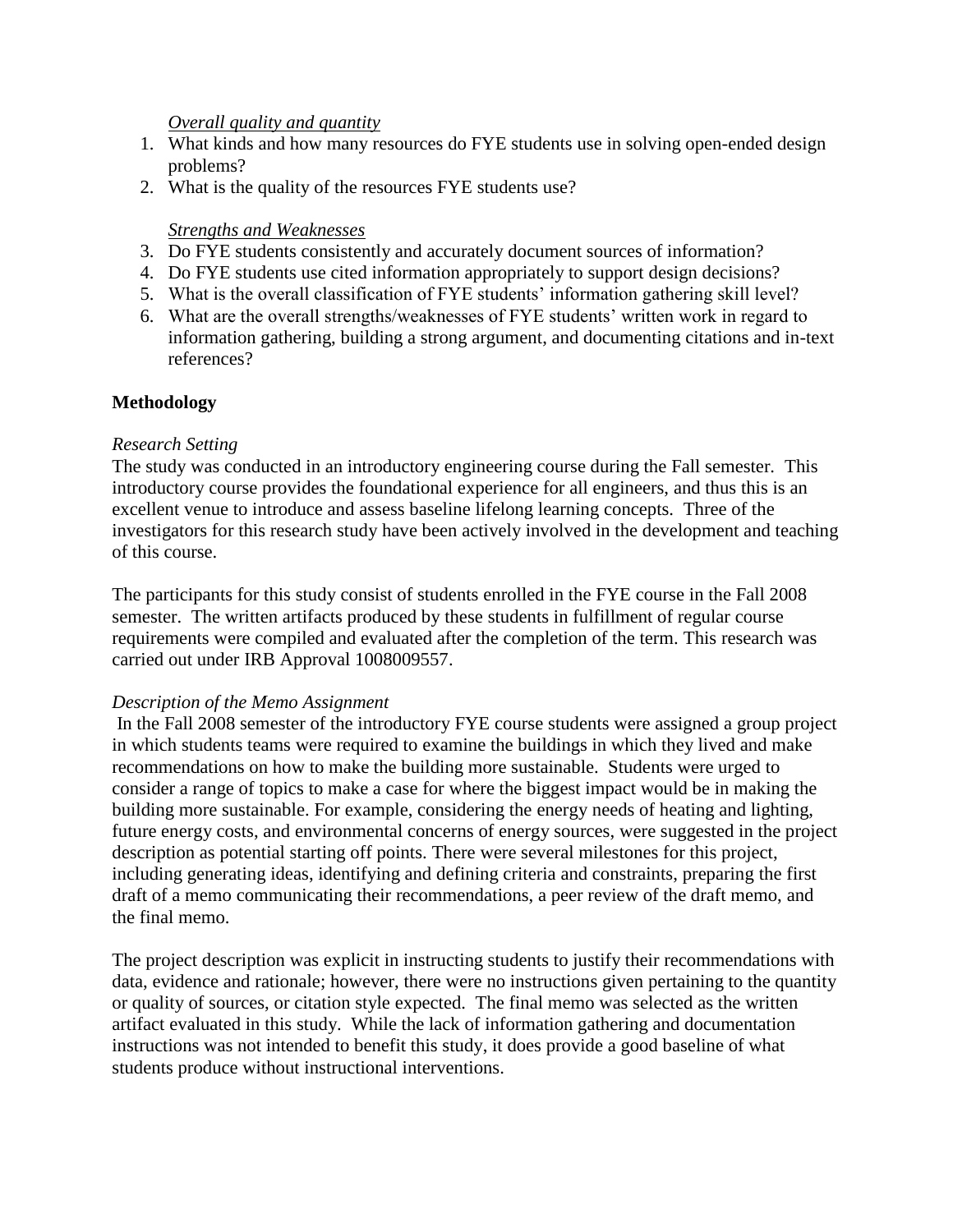#### *Overall quality and quantity*

- 1. What kinds and how many resources do FYE students use in solving open-ended design problems?
- 2. What is the quality of the resources FYE students use?

### *Strengths and Weaknesses*

- 3. Do FYE students consistently and accurately document sources of information?
- 4. Do FYE students use cited information appropriately to support design decisions?
- 5. What is the overall classification of FYE students' information gathering skill level?
- 6. What are the overall strengths/weaknesses of FYE students' written work in regard to information gathering, building a strong argument, and documenting citations and in-text references?

## **Methodology**

#### *Research Setting*

The study was conducted in an introductory engineering course during the Fall semester. This introductory course provides the foundational experience for all engineers, and thus this is an excellent venue to introduce and assess baseline lifelong learning concepts. Three of the investigators for this research study have been actively involved in the development and teaching of this course.

The participants for this study consist of students enrolled in the FYE course in the Fall 2008 semester. The written artifacts produced by these students in fulfillment of regular course requirements were compiled and evaluated after the completion of the term. This research was carried out under IRB Approval 1008009557.

#### *Description of the Memo Assignment*

In the Fall 2008 semester of the introductory FYE course students were assigned a group project in which students teams were required to examine the buildings in which they lived and make recommendations on how to make the building more sustainable. Students were urged to consider a range of topics to make a case for where the biggest impact would be in making the building more sustainable. For example, considering the energy needs of heating and lighting, future energy costs, and environmental concerns of energy sources, were suggested in the project description as potential starting off points. There were several milestones for this project, including generating ideas, identifying and defining criteria and constraints, preparing the first draft of a memo communicating their recommendations, a peer review of the draft memo, and the final memo.

The project description was explicit in instructing students to justify their recommendations with data, evidence and rationale; however, there were no instructions given pertaining to the quantity or quality of sources, or citation style expected. The final memo was selected as the written artifact evaluated in this study. While the lack of information gathering and documentation instructions was not intended to benefit this study, it does provide a good baseline of what students produce without instructional interventions.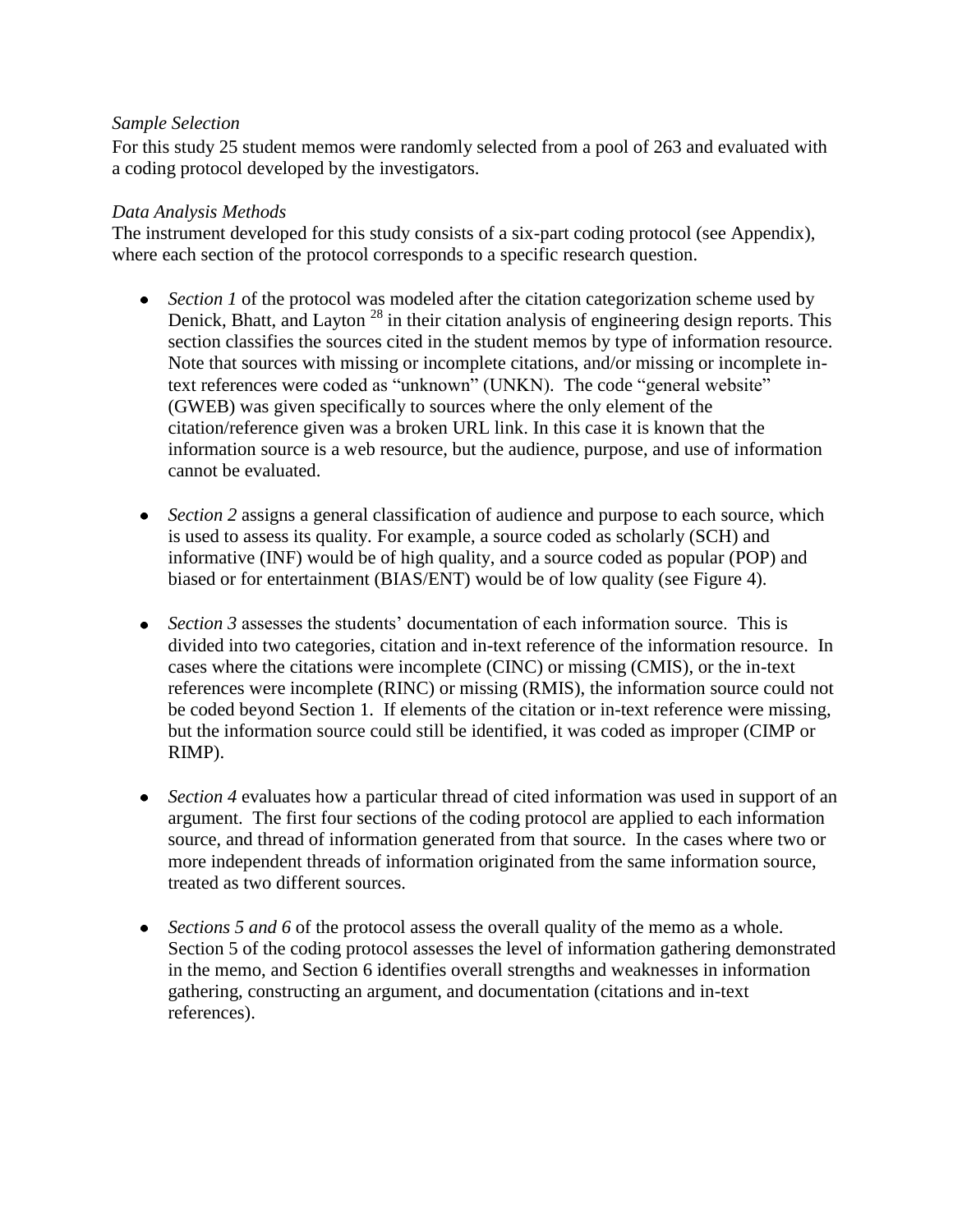## *Sample Selection*

For this study 25 student memos were randomly selected from a pool of 263 and evaluated with a coding protocol developed by the investigators.

### *Data Analysis Methods*

The instrument developed for this study consists of a six-part coding protocol (see Appendix), where each section of the protocol corresponds to a specific research question.

- *Section 1* of the protocol was modeled after the citation categorization scheme used by Denick, Bhatt, and Layton  $^{28}$  in their citation analysis of engineering design reports. This section classifies the sources cited in the student memos by type of information resource. Note that sources with missing or incomplete citations, and/or missing or incomplete intext references were coded as "unknown" (UNKN). The code "general website" (GWEB) was given specifically to sources where the only element of the citation/reference given was a broken URL link. In this case it is known that the information source is a web resource, but the audience, purpose, and use of information cannot be evaluated.
- *Section 2* assigns a general classification of audience and purpose to each source, which is used to assess its quality. For example, a source coded as scholarly (SCH) and informative (INF) would be of high quality, and a source coded as popular (POP) and biased or for entertainment (BIAS/ENT) would be of low quality (see Figure 4).
- *Section 3* assesses the students' documentation of each information source. This is divided into two categories, citation and in-text reference of the information resource. In cases where the citations were incomplete (CINC) or missing (CMIS), or the in-text references were incomplete (RINC) or missing (RMIS), the information source could not be coded beyond Section 1. If elements of the citation or in-text reference were missing, but the information source could still be identified, it was coded as improper (CIMP or RIMP).
- *Section 4* evaluates how a particular thread of cited information was used in support of an argument. The first four sections of the coding protocol are applied to each information source, and thread of information generated from that source. In the cases where two or more independent threads of information originated from the same information source, treated as two different sources.
- *Sections 5 and 6* of the protocol assess the overall quality of the memo as a whole. Section 5 of the coding protocol assesses the level of information gathering demonstrated in the memo, and Section 6 identifies overall strengths and weaknesses in information gathering, constructing an argument, and documentation (citations and in-text references).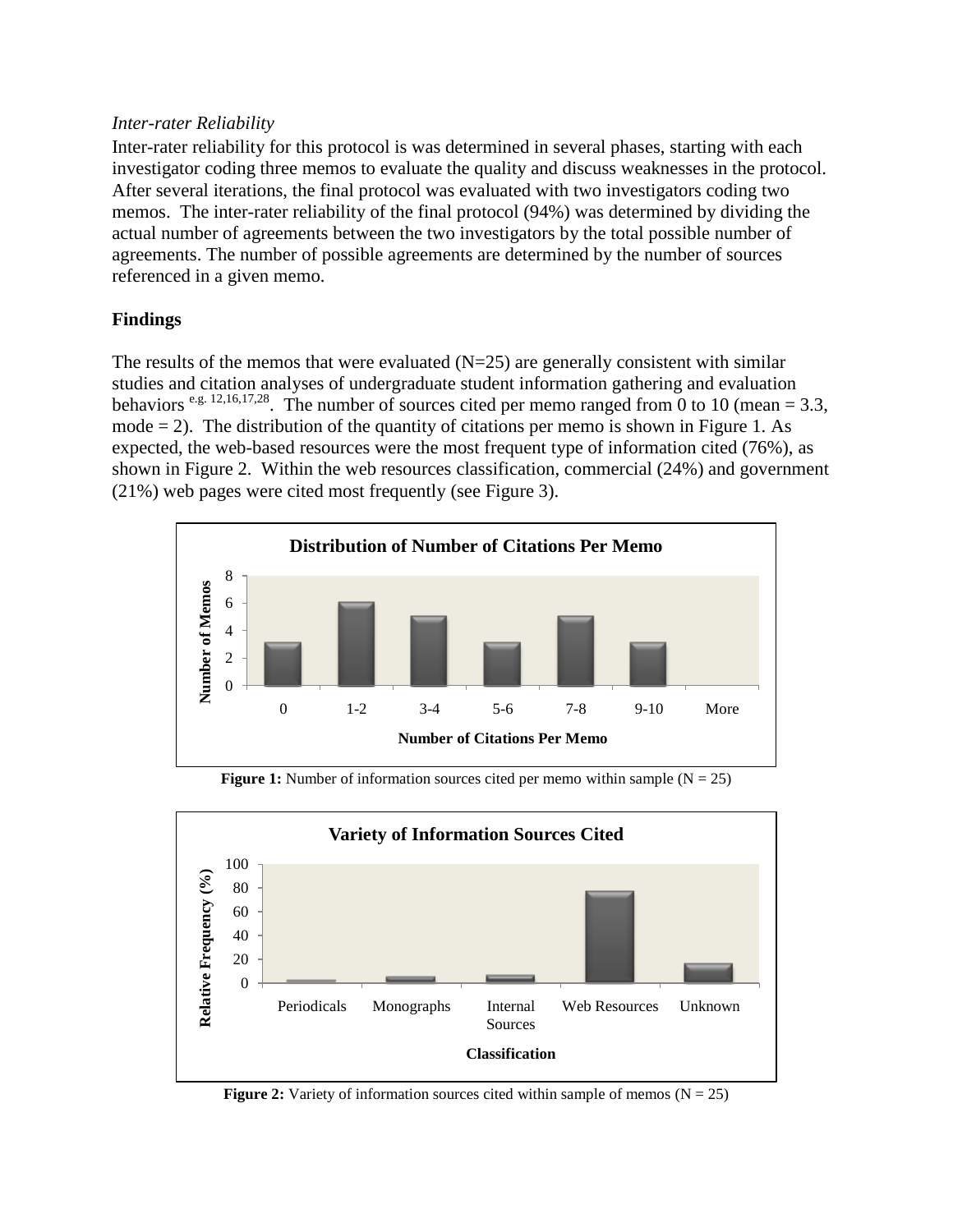#### *Inter-rater Reliability*

Inter-rater reliability for this protocol is was determined in several phases, starting with each investigator coding three memos to evaluate the quality and discuss weaknesses in the protocol. After several iterations, the final protocol was evaluated with two investigators coding two memos. The inter-rater reliability of the final protocol (94%) was determined by dividing the actual number of agreements between the two investigators by the total possible number of agreements. The number of possible agreements are determined by the number of sources referenced in a given memo.

## **Findings**

The results of the memos that were evaluated  $(N=25)$  are generally consistent with similar studies and citation analyses of undergraduate student information gathering and evaluation behaviors  $e.g. 12,16,17,28$ . The number of sources cited per memo ranged from 0 to 10 (mean = 3.3, mode  $= 2$ ). The distribution of the quantity of citations per memo is shown in Figure 1. As expected, the web-based resources were the most frequent type of information cited (76%), as shown in Figure 2. Within the web resources classification, commercial (24%) and government (21%) web pages were cited most frequently (see Figure 3).



**Figure 1:** Number of information sources cited per memo within sample  $(N = 25)$ 



**Figure 2:** Variety of information sources cited within sample of memos  $(N = 25)$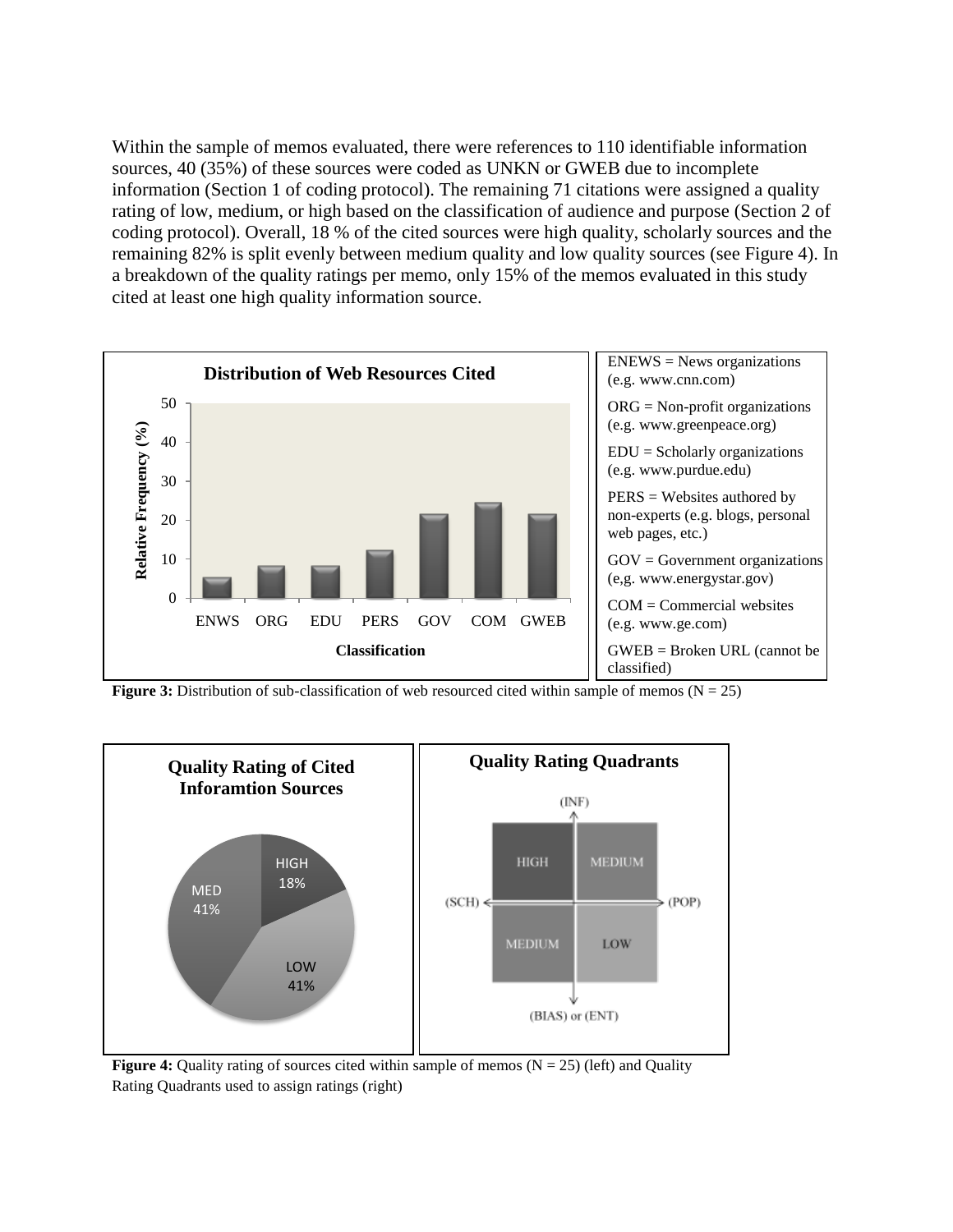Within the sample of memos evaluated, there were references to 110 identifiable information sources, 40 (35%) of these sources were coded as UNKN or GWEB due to incomplete information (Section 1 of coding protocol). The remaining 71 citations were assigned a quality rating of low, medium, or high based on the classification of audience and purpose (Section 2 of coding protocol). Overall, 18 % of the cited sources were high quality, scholarly sources and the remaining 82% is split evenly between medium quality and low quality sources (see Figure 4). In a breakdown of the quality ratings per memo, only 15% of the memos evaluated in this study cited at least one high quality information source.



**Figure 3:** Distribution of sub-classification of web resourced cited within sample of memos  $(N = 25)$ 



**Figure 4:** Quality rating of sources cited within sample of memos  $(N = 25)$  (left) and Quality Rating Quadrants used to assign ratings (right)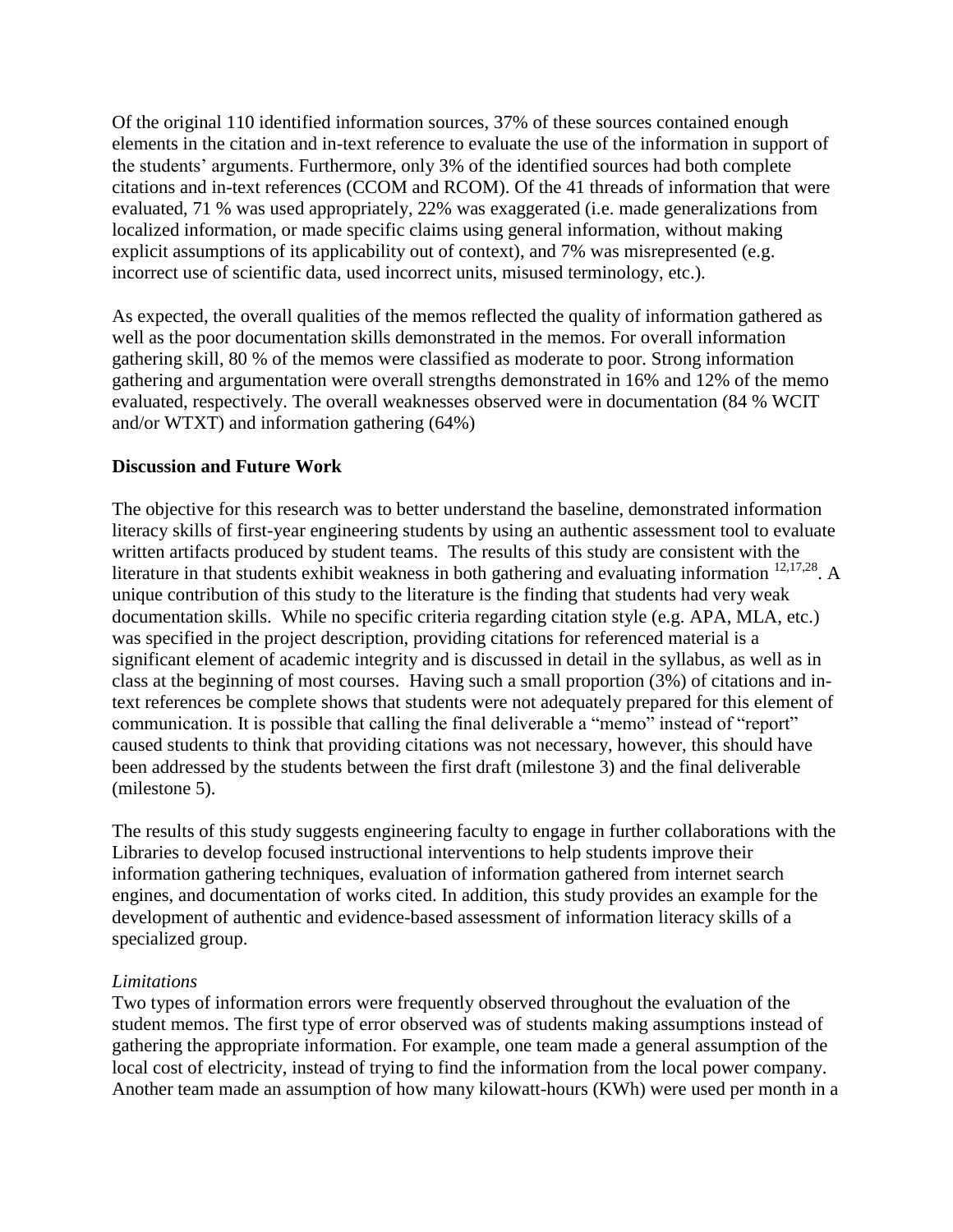Of the original 110 identified information sources, 37% of these sources contained enough elements in the citation and in-text reference to evaluate the use of the information in support of the students' arguments. Furthermore, only 3% of the identified sources had both complete citations and in-text references (CCOM and RCOM). Of the 41 threads of information that were evaluated, 71 % was used appropriately, 22% was exaggerated (i.e. made generalizations from localized information, or made specific claims using general information, without making explicit assumptions of its applicability out of context), and 7% was misrepresented (e.g. incorrect use of scientific data, used incorrect units, misused terminology, etc.).

As expected, the overall qualities of the memos reflected the quality of information gathered as well as the poor documentation skills demonstrated in the memos. For overall information gathering skill, 80 % of the memos were classified as moderate to poor. Strong information gathering and argumentation were overall strengths demonstrated in 16% and 12% of the memo evaluated, respectively. The overall weaknesses observed were in documentation (84 % WCIT and/or WTXT) and information gathering (64%)

## **Discussion and Future Work**

The objective for this research was to better understand the baseline, demonstrated information literacy skills of first-year engineering students by using an authentic assessment tool to evaluate written artifacts produced by student teams. The results of this study are consistent with the literature in that students exhibit weakness in both gathering and evaluating information  $12,17,28$ . A unique contribution of this study to the literature is the finding that students had very weak documentation skills. While no specific criteria regarding citation style (e.g. APA, MLA, etc.) was specified in the project description, providing citations for referenced material is a significant element of academic integrity and is discussed in detail in the syllabus, as well as in class at the beginning of most courses. Having such a small proportion (3%) of citations and intext references be complete shows that students were not adequately prepared for this element of communication. It is possible that calling the final deliverable a "memo" instead of "report" caused students to think that providing citations was not necessary, however, this should have been addressed by the students between the first draft (milestone 3) and the final deliverable (milestone 5).

The results of this study suggests engineering faculty to engage in further collaborations with the Libraries to develop focused instructional interventions to help students improve their information gathering techniques, evaluation of information gathered from internet search engines, and documentation of works cited. In addition, this study provides an example for the development of authentic and evidence-based assessment of information literacy skills of a specialized group.

#### *Limitations*

Two types of information errors were frequently observed throughout the evaluation of the student memos. The first type of error observed was of students making assumptions instead of gathering the appropriate information. For example, one team made a general assumption of the local cost of electricity, instead of trying to find the information from the local power company. Another team made an assumption of how many kilowatt-hours (KWh) were used per month in a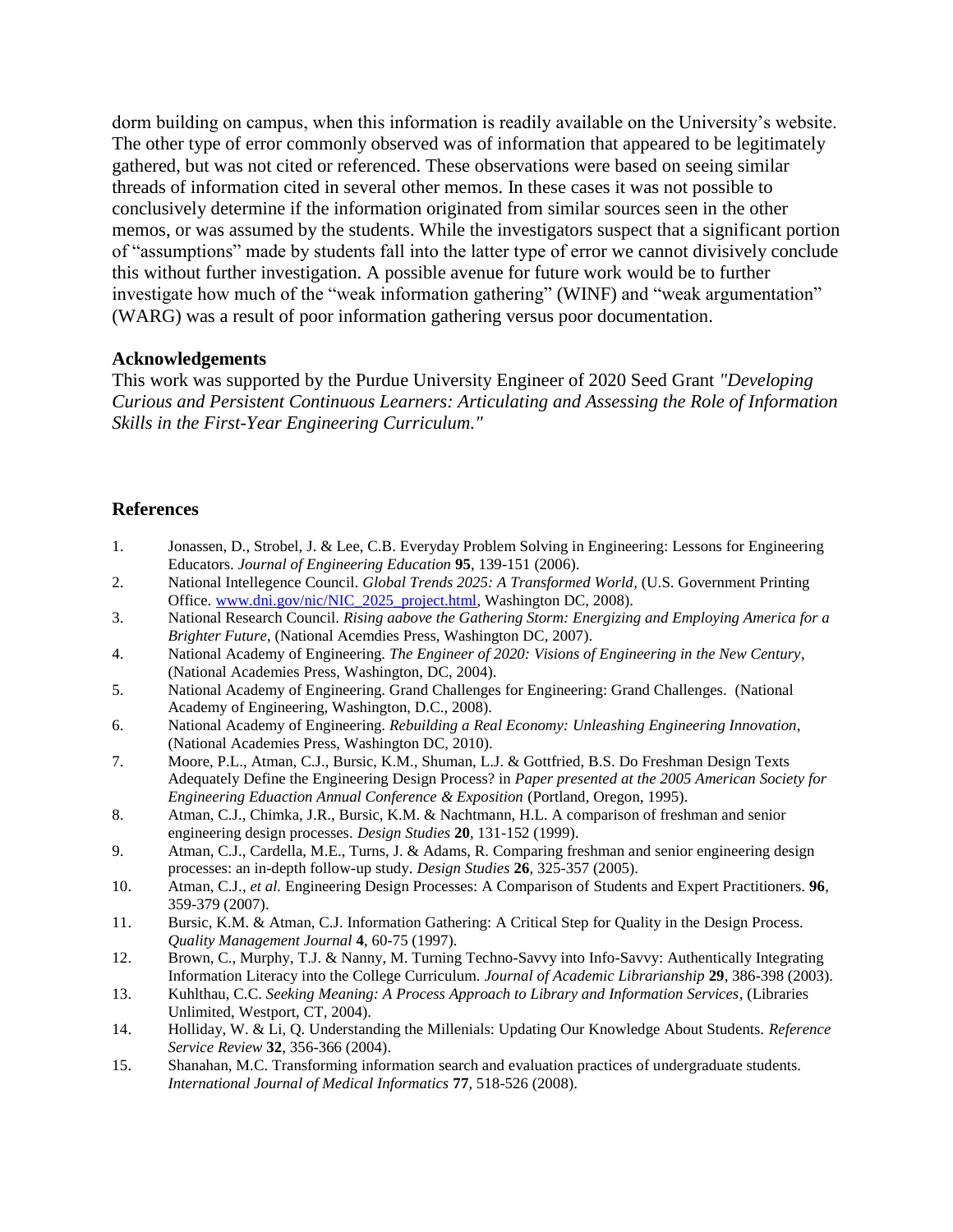dorm building on campus, when this information is readily available on the University's website. The other type of error commonly observed was of information that appeared to be legitimately gathered, but was not cited or referenced. These observations were based on seeing similar threads of information cited in several other memos. In these cases it was not possible to conclusively determine if the information originated from similar sources seen in the other memos, or was assumed by the students. While the investigators suspect that a significant portion of "assumptions" made by students fall into the latter type of error we cannot divisively conclude this without further investigation. A possible avenue for future work would be to further investigate how much of the "weak information gathering" (WINF) and "weak argumentation" (WARG) was a result of poor information gathering versus poor documentation.

#### **Acknowledgements**

This work was supported by the Purdue University Engineer of 2020 Seed Grant *"Developing Curious and Persistent Continuous Learners: Articulating and Assessing the Role of Information Skills in the First-Year Engineering Curriculum."*

#### **References**

- 1. Jonassen, D., Strobel, J. & Lee, C.B. Everyday Problem Solving in Engineering: Lessons for Engineering Educators. *Journal of Engineering Education* **95**, 139-151 (2006).
- 2. National Intellegence Council. *Global Trends 2025: A Transformed World*, (U.S. Government Printing Office. [www.dni.gov/nic/NIC\\_2025\\_project.html,](http://www.dni.gov/nic/NIC_2025_project.html) Washington DC, 2008).
- 3. National Research Council. *Rising aabove the Gathering Storm: Energizing and Employing America for a Brighter Future*, (National Acemdies Press, Washington DC, 2007).
- 4. National Academy of Engineering. *The Engineer of 2020: Visions of Engineering in the New Century*, (National Academies Press, Washington, DC, 2004).
- 5. National Academy of Engineering. Grand Challenges for Engineering: Grand Challenges. (National Academy of Engineering, Washington, D.C., 2008).
- 6. National Academy of Engineering. *Rebuilding a Real Economy: Unleashing Engineering Innovation*, (National Academies Press, Washington DC, 2010).
- 7. Moore, P.L., Atman, C.J., Bursic, K.M., Shuman, L.J. & Gottfried, B.S. Do Freshman Design Texts Adequately Define the Engineering Design Process? in *Paper presented at the 2005 American Society for Engineering Eduaction Annual Conference & Exposition* (Portland, Oregon, 1995).
- 8. Atman, C.J., Chimka, J.R., Bursic, K.M. & Nachtmann, H.L. A comparison of freshman and senior engineering design processes. *Design Studies* **20**, 131-152 (1999).
- 9. Atman, C.J., Cardella, M.E., Turns, J. & Adams, R. Comparing freshman and senior engineering design processes: an in-depth follow-up study. *Design Studies* **26**, 325-357 (2005).
- 10. Atman, C.J.*, et al.* Engineering Design Processes: A Comparison of Students and Expert Practitioners. **96**, 359-379 (2007).
- 11. Bursic, K.M. & Atman, C.J. Information Gathering: A Critical Step for Quality in the Design Process. *Quality Management Journal* **4**, 60-75 (1997).
- 12. Brown, C., Murphy, T.J. & Nanny, M. Turning Techno-Savvy into Info-Savvy: Authentically Integrating Information Literacy into the College Curriculum. *Journal of Academic Librarianship* **29**, 386-398 (2003).
- 13. Kuhlthau, C.C. *Seeking Meaning: A Process Approach to Library and Information Services*, (Libraries Unlimited, Westport, CT, 2004).
- 14. Holliday, W. & Li, Q. Understanding the Millenials: Updating Our Knowledge About Students. *Reference Service Review* **32**, 356-366 (2004).
- 15. Shanahan, M.C. Transforming information search and evaluation practices of undergraduate students. *International Journal of Medical Informatics* **77**, 518-526 (2008).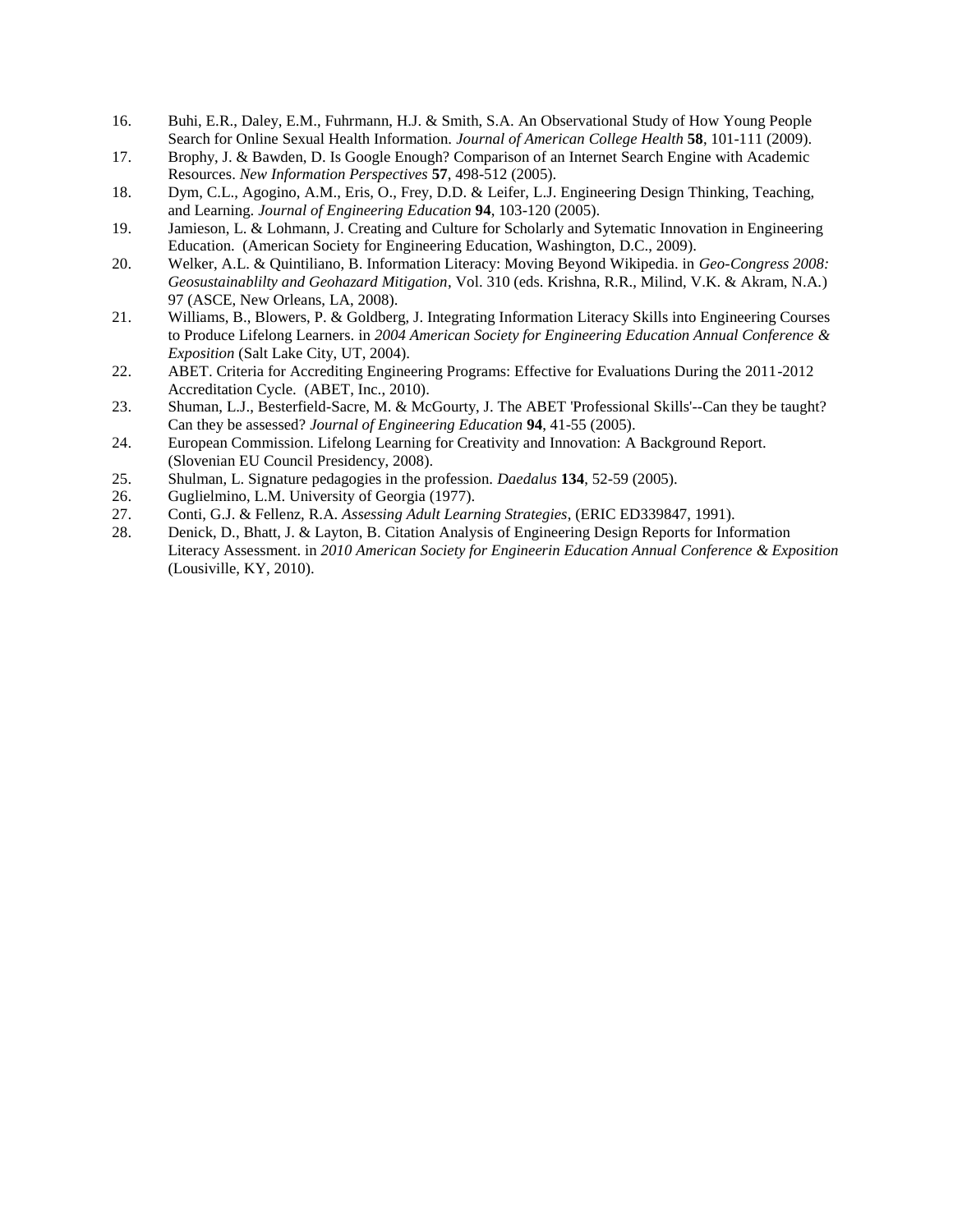- 16. Buhi, E.R., Daley, E.M., Fuhrmann, H.J. & Smith, S.A. An Observational Study of How Young People Search for Online Sexual Health Information. *Journal of American College Health* **58**, 101-111 (2009).
- 17. Brophy, J. & Bawden, D. Is Google Enough? Comparison of an Internet Search Engine with Academic Resources. *New Information Perspectives* **57**, 498-512 (2005).
- 18. Dym, C.L., Agogino, A.M., Eris, O., Frey, D.D. & Leifer, L.J. Engineering Design Thinking, Teaching, and Learning. *Journal of Engineering Education* **94**, 103-120 (2005).
- 19. Jamieson, L. & Lohmann, J. Creating and Culture for Scholarly and Sytematic Innovation in Engineering Education. (American Society for Engineering Education, Washington, D.C., 2009).
- 20. Welker, A.L. & Quintiliano, B. Information Literacy: Moving Beyond Wikipedia. in *Geo-Congress 2008: Geosustainablilty and Geohazard Mitigation*, Vol. 310 (eds. Krishna, R.R., Milind, V.K. & Akram, N.A.) 97 (ASCE, New Orleans, LA, 2008).
- 21. Williams, B., Blowers, P. & Goldberg, J. Integrating Information Literacy Skills into Engineering Courses to Produce Lifelong Learners. in *2004 American Society for Engineering Education Annual Conference & Exposition* (Salt Lake City, UT, 2004).
- 22. ABET. Criteria for Accrediting Engineering Programs: Effective for Evaluations During the 2011-2012 Accreditation Cycle. (ABET, Inc., 2010).
- 23. Shuman, L.J., Besterfield-Sacre, M. & McGourty, J. The ABET 'Professional Skills'--Can they be taught? Can they be assessed? *Journal of Engineering Education* **94**, 41-55 (2005).
- 24. European Commission. Lifelong Learning for Creativity and Innovation: A Background Report. (Slovenian EU Council Presidency, 2008).
- 25. Shulman, L. Signature pedagogies in the profession. *Daedalus* **134**, 52-59 (2005).
- 26. Guglielmino, L.M. University of Georgia (1977).
- 27. Conti, G.J. & Fellenz, R.A. *Assessing Adult Learning Strategies*, (ERIC ED339847, 1991).
- 28. Denick, D., Bhatt, J. & Layton, B. Citation Analysis of Engineering Design Reports for Information Literacy Assessment. in *2010 American Society for Engineerin Education Annual Conference & Exposition* (Lousiville, KY, 2010).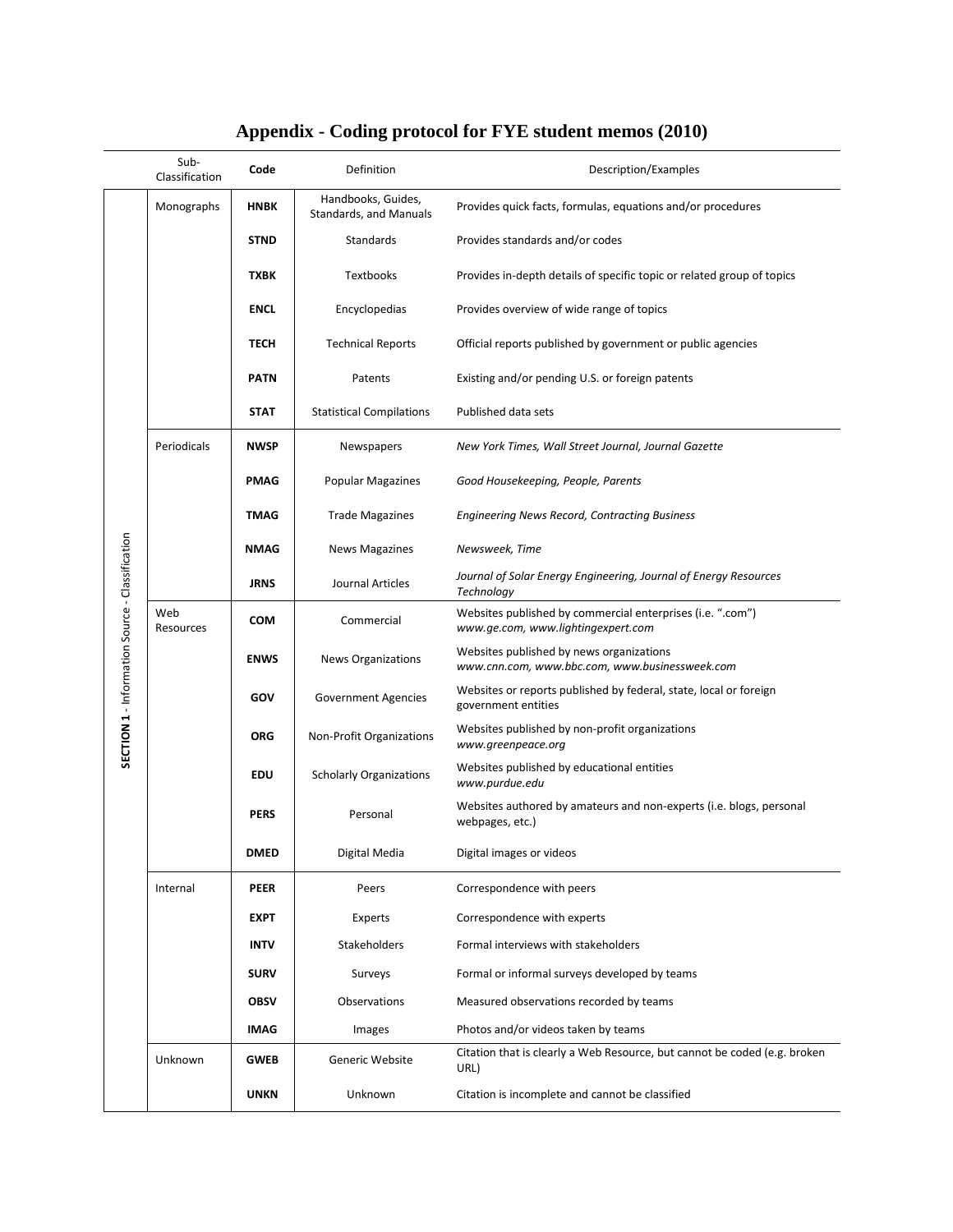|                                                 | Sub-<br>Classification | Code        | Definition                                   | Description/Examples                                                                             |
|-------------------------------------------------|------------------------|-------------|----------------------------------------------|--------------------------------------------------------------------------------------------------|
|                                                 | Monographs             | <b>HNBK</b> | Handbooks, Guides,<br>Standards, and Manuals | Provides quick facts, formulas, equations and/or procedures                                      |
|                                                 |                        | <b>STND</b> | Standards                                    | Provides standards and/or codes                                                                  |
|                                                 |                        | <b>TXBK</b> | <b>Textbooks</b>                             | Provides in-depth details of specific topic or related group of topics                           |
|                                                 |                        | <b>ENCL</b> | Encyclopedias                                | Provides overview of wide range of topics                                                        |
|                                                 |                        | TECH        | <b>Technical Reports</b>                     | Official reports published by government or public agencies                                      |
|                                                 |                        | <b>PATN</b> | Patents                                      | Existing and/or pending U.S. or foreign patents                                                  |
|                                                 |                        | <b>STAT</b> | <b>Statistical Compilations</b>              | Published data sets                                                                              |
|                                                 | Periodicals            | <b>NWSP</b> | Newspapers                                   | New York Times, Wall Street Journal, Journal Gazette                                             |
|                                                 |                        | PMAG        | <b>Popular Magazines</b>                     | Good Housekeeping, People, Parents                                                               |
|                                                 |                        | TMAG        | <b>Trade Magazines</b>                       | <b>Engineering News Record, Contracting Business</b>                                             |
|                                                 |                        | <b>NMAG</b> | <b>News Magazines</b>                        | Newsweek, Time                                                                                   |
|                                                 |                        | <b>JRNS</b> | Journal Articles                             | Journal of Solar Energy Engineering, Journal of Energy Resources<br>Technology                   |
|                                                 | Web<br>Resources       | <b>COM</b>  | Commercial                                   | Websites published by commercial enterprises (i.e. ".com")<br>www.ge.com, www.lightingexpert.com |
|                                                 |                        | <b>ENWS</b> | <b>News Organizations</b>                    | Websites published by news organizations<br>www.cnn.com, www.bbc.com, www.businessweek.com       |
| SECTION 1 - Information Source - Classification |                        | GOV         | <b>Government Agencies</b>                   | Websites or reports published by federal, state, local or foreign<br>government entities         |
|                                                 |                        | <b>ORG</b>  | Non-Profit Organizations                     | Websites published by non-profit organizations<br>www.greenpeace.org                             |
|                                                 |                        | <b>EDU</b>  | <b>Scholarly Organizations</b>               | Websites published by educational entities<br>www.purdue.edu                                     |
|                                                 |                        | <b>PERS</b> | Personal                                     | Websites authored by amateurs and non-experts (i.e. blogs, personal<br>webpages, etc.)           |
|                                                 |                        | <b>DMED</b> | Digital Media                                | Digital images or videos                                                                         |
|                                                 | Internal               | <b>PEER</b> | Peers                                        | Correspondence with peers                                                                        |
|                                                 |                        | <b>EXPT</b> | Experts                                      | Correspondence with experts                                                                      |
|                                                 |                        | <b>INTV</b> | Stakeholders                                 | Formal interviews with stakeholders                                                              |
|                                                 |                        | <b>SURV</b> | Surveys                                      | Formal or informal surveys developed by teams                                                    |
|                                                 |                        | <b>OBSV</b> | Observations                                 | Measured observations recorded by teams                                                          |
|                                                 |                        | <b>IMAG</b> | Images                                       | Photos and/or videos taken by teams                                                              |
|                                                 | Unknown                | <b>GWEB</b> | Generic Website                              | Citation that is clearly a Web Resource, but cannot be coded (e.g. broken<br>URL)                |
|                                                 |                        | <b>UNKN</b> | Unknown                                      | Citation is incomplete and cannot be classified                                                  |

# **Appendix - Coding protocol for FYE student memos (2010)**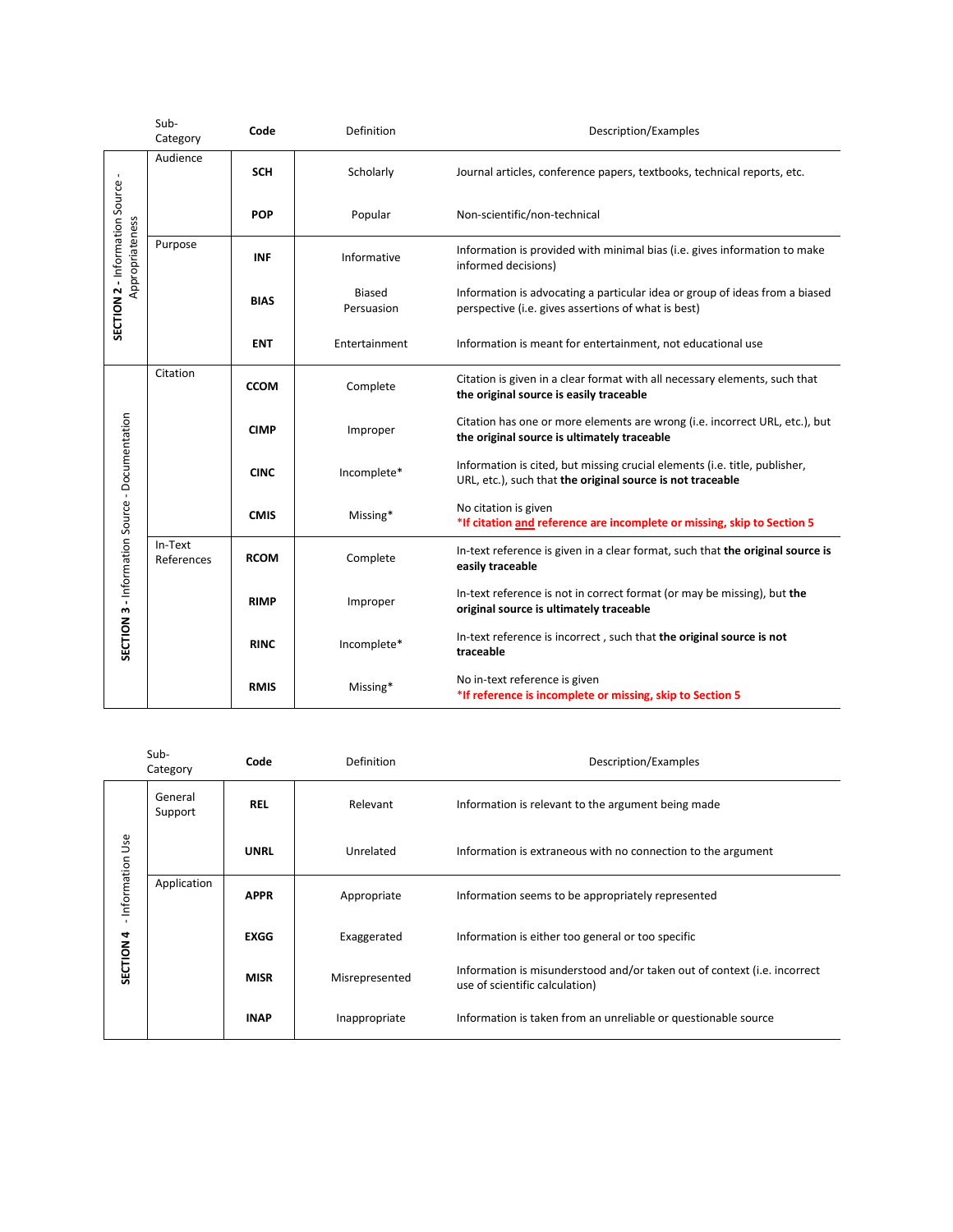|                                                   | Sub-<br>Category      | Code        | Definition                  | Description/Examples                                                                                                                     |
|---------------------------------------------------|-----------------------|-------------|-----------------------------|------------------------------------------------------------------------------------------------------------------------------------------|
| SECTION 2 - Information Source<br>Appropriateness | Audience              | <b>SCH</b>  | Scholarly                   | Journal articles, conference papers, textbooks, technical reports, etc.                                                                  |
|                                                   |                       | <b>POP</b>  | Popular                     | Non-scientific/non-technical                                                                                                             |
|                                                   | Purpose               | <b>INF</b>  | Informative                 | Information is provided with minimal bias (i.e. gives information to make<br>informed decisions)                                         |
|                                                   |                       | <b>BIAS</b> | <b>Biased</b><br>Persuasion | Information is advocating a particular idea or group of ideas from a biased<br>perspective (i.e. gives assertions of what is best)       |
|                                                   |                       | <b>ENT</b>  | Entertainment               | Information is meant for entertainment, not educational use                                                                              |
|                                                   | Citation              | <b>CCOM</b> | Complete                    | Citation is given in a clear format with all necessary elements, such that<br>the original source is easily traceable                    |
|                                                   |                       | <b>CIMP</b> | Improper                    | Citation has one or more elements are wrong (i.e. incorrect URL, etc.), but<br>the original source is ultimately traceable               |
| SECTION 3 - Information Source - Documentation    |                       | <b>CINC</b> | Incomplete*                 | Information is cited, but missing crucial elements (i.e. title, publisher,<br>URL, etc.), such that the original source is not traceable |
|                                                   |                       | <b>CMIS</b> | Missing*                    | No citation is given<br>*If citation and reference are incomplete or missing, skip to Section 5                                          |
|                                                   | In-Text<br>References | <b>RCOM</b> | Complete                    | In-text reference is given in a clear format, such that the original source is<br>easily traceable                                       |
|                                                   |                       | <b>RIMP</b> | Improper                    | In-text reference is not in correct format (or may be missing), but the<br>original source is ultimately traceable                       |
|                                                   |                       | <b>RINC</b> | Incomplete*                 | In-text reference is incorrect, such that the original source is not<br>traceable                                                        |
|                                                   |                       | <b>RMIS</b> | Missing*                    | No in-text reference is given<br>*If reference is incomplete or missing, skip to Section 5                                               |

|                                                 | Sub-<br>Category   | Code        | <b>Definition</b> | Description/Examples                                                                                       |
|-------------------------------------------------|--------------------|-------------|-------------------|------------------------------------------------------------------------------------------------------------|
| Information Use<br>$\mathbf{L}$<br>4<br>SECTION | General<br>Support | <b>REL</b>  | Relevant          | Information is relevant to the argument being made                                                         |
|                                                 |                    | <b>UNRL</b> | Unrelated         | Information is extraneous with no connection to the argument                                               |
|                                                 | Application        | <b>APPR</b> | Appropriate       | Information seems to be appropriately represented                                                          |
|                                                 |                    | <b>EXGG</b> | Exaggerated       | Information is either too general or too specific                                                          |
|                                                 |                    | <b>MISR</b> | Misrepresented    | Information is misunderstood and/or taken out of context (i.e. incorrect<br>use of scientific calculation) |
|                                                 |                    | <b>INAP</b> | Inappropriate     | Information is taken from an unreliable or questionable source                                             |